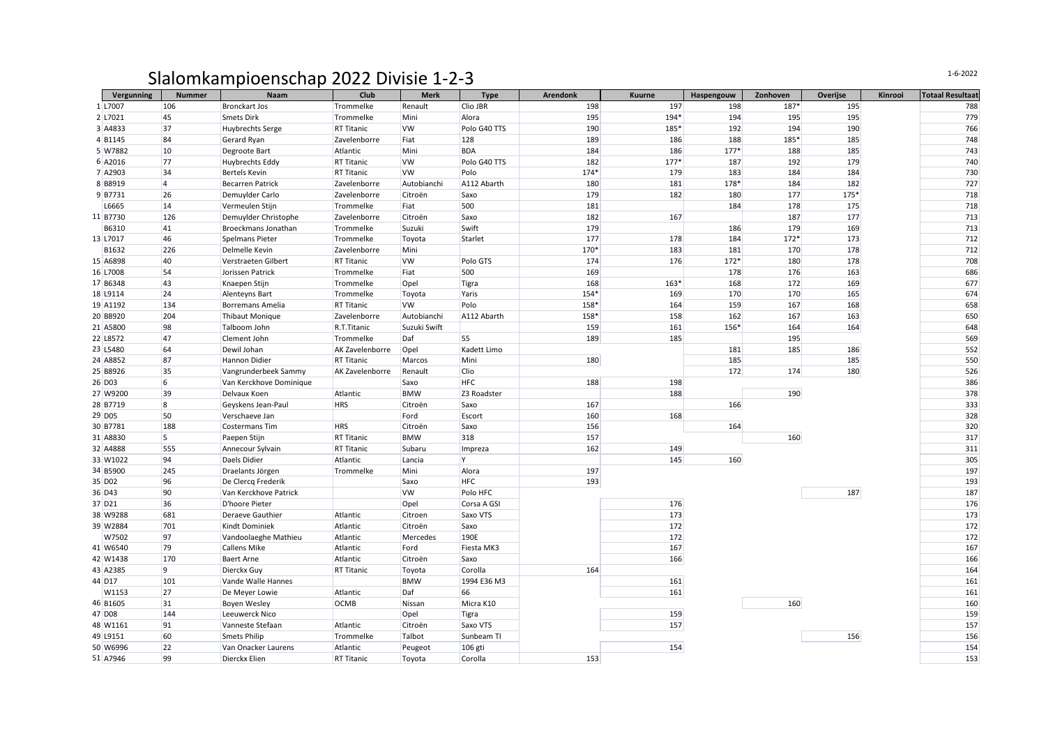## Slalomkampioenschap 2022 Divisie 1-2-3

| Vergunning         | <b>Nummer</b>  | Naam                    | Club              | <b>Merk</b>  | <b>Type</b>  | <b>Arendonk</b> | <b>Kuurne</b> | Haspengouw | Zonhoven | Overijse | Kinrooi | <b>Totaal Resultaat</b> |
|--------------------|----------------|-------------------------|-------------------|--------------|--------------|-----------------|---------------|------------|----------|----------|---------|-------------------------|
| 1 L7007            | 106            | <b>Bronckart Jos</b>    | Trommelke         | Renault      | Clio JBR     | 198             | 197           | 198        | 187*     | 195      |         | 788                     |
| 2 L7021            | 45             | Smets Dirk              | Trommelke         | Mini         | Alora        | 195             | 194*          | 194        | 195      | 195      |         | 779                     |
| 3 A4833            | 37             | Huybrechts Serge        | <b>RT Titanic</b> | <b>VW</b>    | Polo G40 TTS | 190             | 185*          | 192        | 194      | 190      |         | 766                     |
| 4 B1145            | 84             | Gerard Ryan             | Zavelenborre      | Fiat         | 128          | 189             | 186           | 188        | 185*     | 185      |         | 748                     |
| 5 W7882            | <b>10</b>      | Degroote Bart           | Atlantic          | Mini         | <b>BDA</b>   | 184             | 186           | $177*$     | 188      | 185      |         | 743                     |
| 6 A2016            | 77             | Huybrechts Eddy         | <b>RT Titanic</b> | <b>VW</b>    | Polo G40 TTS | 182             | $177*$        | 187        | 192      | 179      |         | 740                     |
| 7 A2903            | 34             | Bertels Kevin           | <b>RT Titanic</b> | VW           | Polo         | $174*$          | 179           | 183        | 184      | 184      |         | 730                     |
| 8 B8919            | $\vert$ 4      | <b>Becarren Patrick</b> | Zavelenborre      | Autobianchi  | A112 Abarth  | 180             | 181           | 178*       | 184      | 182      |         | 727                     |
| 9B7731             | 26             | Demuylder Carlo         | Zavelenborre      | Citroën      | Saxo         | 179             | 182           | 180        | 177      | 175*     |         | 718                     |
| L6665              | <b>14</b>      | Vermeulen Stijn         | Trommelke         | Fiat         | 500          | 181             |               | 184        | 178      | 175      |         | 718                     |
| 11 B7730           | 126            | Demuylder Christophe    | Zavelenborre      | Citroën      | Saxo         | 182             | 167           |            | 187      | 177      |         | 713                     |
| B6310              | 41             | Broeckmans Jonathan     | Trommelke         | Suzuki       | Swift        | 179             |               | 186        | 179      | 169      |         | 713                     |
| 13 L7017           | 46             | Spelmans Pieter         | Trommelke         | Toyota       | Starlet      | 177             | 178           | 184        | $172*$   | 173      |         | 712                     |
| B1632              | 226            | Delmelle Kevin          | Zavelenborre      | Mini         |              | 170*            | 183           | 181        | 170      | 178      |         | 712                     |
| 15 A6898           | 40             | Verstraeten Gilbert     | <b>RT Titanic</b> | <b>VW</b>    | Polo GTS     | 174             | 176           | $172*$     | 180      | 178      |         | 708                     |
| 16 L7008           | 54             | Jorissen Patrick        | Trommelke         | Fiat         | 500          | 169             |               | 178        | 176      | 163      |         | 686                     |
| 17 B6348           | 43             | Knaepen Stijn           | Trommelke         | Opel         | Tigra        | 168             | $163*$        | 168        | 172      | 169      |         | 677                     |
| 18 L9114           | 24             | Alenteyns Bart          | Trommelke         | Toyota       | Yaris        | $154*$          | 169           | 170        | 170      | 165      |         | 674                     |
| 19 A1192           | 134            | <b>Borremans Amelia</b> | <b>RT Titanic</b> | <b>VW</b>    | Polo         | 158*            | 164           | 159        | 167      | 168      |         | 658                     |
| 20 B8920           | 204            | <b>Thibaut Monique</b>  | Zavelenborre      | Autobianchi  | A112 Abarth  | 158*            | 158           | 162        | 167      | 163      |         | 650                     |
| 21 A5800           | 98             | Talboom John            | R.T.Titanic       | Suzuki Swift |              | 159             | 161           | 156*       | 164      | 164      |         | 648                     |
| 22 L8572           | 47             | Clement John            | Trommelke         | Daf          | 55           | 189             | 185           |            | 195      |          |         | 569                     |
| 23 L5480           | 64             | Dewil Johan             | AK Zavelenborre   | Opel         | Kadett Limo  |                 |               | 181        | 185      | 186      |         | 552                     |
| 24 A8852           | 87             | Hannon Didier           | <b>RT Titanic</b> | Marcos       | Mini         | 180             |               | 185        |          | 185      |         | 550                     |
| 25 B8926           | 35             | Vangrunderbeek Sammy    | AK Zavelenborre   | Renault      | Clio         |                 |               | 172        | 174      | 180      |         | 526                     |
| 26 D <sub>03</sub> | 6              | Van Kerckhove Dominique |                   | Saxo         | <b>HFC</b>   | 188             | 198           |            |          |          |         | 386                     |
| 27 W9200           | 39             | Delvaux Koen            | Atlantic          | <b>BMW</b>   | Z3 Roadster  |                 | 188           |            | 190      |          |         | 378                     |
| 28 B7719           | 8              | Geyskens Jean-Paul      | <b>HRS</b>        | Citroën      | Saxo         | 167             |               | 166        |          |          |         | 333                     |
| 29 D <sub>05</sub> | 50             | Verschaeve Jan          |                   | Ford         | Escort       | 160             | 168           |            |          |          |         | 328                     |
| 30 B7781           | 188            | Costermans Tim          | <b>HRS</b>        | Citroën      | Saxo         | 156             |               | 164        |          |          |         | 320                     |
| 31 A8830           | $\overline{5}$ | Paepen Stijn            | <b>RT Titanic</b> | <b>BMW</b>   | 318          | 157             |               |            | 160      |          |         | 317                     |
| 32 A4888           | 555            | Annecour Sylvain        | <b>RT Titanic</b> | Subaru       | Impreza      | 162             | 149           |            |          |          |         | 311                     |
| 33 W1022           | 94             | Daels Didier            | Atlantic          | Lancia       | IY.          |                 | 145           | 160        |          |          |         | 305                     |
| 34 B5900           | 245            | Draelants Jörgen        | Trommelke         | Mini         | Alora        | 197             |               |            |          |          |         | 197                     |
| 35 D <sub>02</sub> | 96             | De Clercq Frederik      |                   | Saxo         | <b>HFC</b>   | 193             |               |            |          |          |         | 193                     |
| 36 D43             | 90             | Van Kerckhove Patrick   |                   | <b>VW</b>    | Polo HFC     |                 |               |            |          | 187      |         | 187                     |
| 37 D <sub>21</sub> | 36             | D'hoore Pieter          |                   | Opel         | Corsa A GSI  |                 | 176           |            |          |          |         | 176                     |
| 38 W9288           | 681            | Deraeve Gauthier        | Atlantic          | Citroen      | Saxo VTS     |                 | 173           |            |          |          |         | 173                     |
| 39 W2884           | 701            | Kindt Dominiek          | Atlantic          | Citroën      | Saxo         |                 | 172           |            |          |          |         | 172                     |
| W7502              | 97             | Vandoolaeghe Mathieu    | Atlantic          | Mercedes     | 190E         |                 | 172           |            |          |          |         | 172                     |
| 41 W6540           | 79             | <b>Callens Mike</b>     | Atlantic          | Ford         | Fiesta MK3   |                 | 167           |            |          |          |         | 167                     |
| 42 W1438           | 170            | Baert Arne              | Atlantic          | Citroën      | Saxo         |                 | 166           |            |          |          |         | 166                     |
| 43 A2385           | $\overline{9}$ | Dierckx Guy             | <b>RT Titanic</b> | Toyota       | Corolla      | 164             |               |            |          |          |         | 164                     |
| 44 D17             | 101            | Vande Walle Hannes      |                   | <b>BMW</b>   | 1994 E36 M3  |                 | 161           |            |          |          |         | 161                     |
| W1153              | 27             | De Meyer Lowie          | Atlantic          | Daf          | 66           |                 | 161           |            |          |          |         | 161                     |
| 46 B1605           | 31             | Boyen Wesley            | <b>OCMB</b>       | Nissan       | Micra K10    |                 |               |            | 160      |          |         | 160                     |
| 47 D <sub>08</sub> | 144            | Leeuwerck Nico          |                   | Opel         | Tigra        |                 | 159           |            |          |          |         | 159                     |
| 48 W1161           | 91             | Vanneste Stefaan        | Atlantic          | Citroën      | Saxo VTS     |                 | 157           |            |          |          |         | 157                     |
| 49 L9151           | 60             | Smets Philip            | Trommelke         | Talbot       | Sunbeam TI   |                 |               |            |          | 156      |         | 156                     |
| 50 W6996           | 22             | Van Onacker Laurens     | Atlantic          | Peugeot      | 106 gti      |                 | 154           |            |          |          |         | 154                     |
| 51 A7946           | 99             | Dierckx Elien           | <b>RT Titanic</b> | Toyota       | Corolla      | 153             |               |            |          |          |         | 153                     |
|                    |                |                         |                   |              |              |                 |               |            |          |          |         |                         |